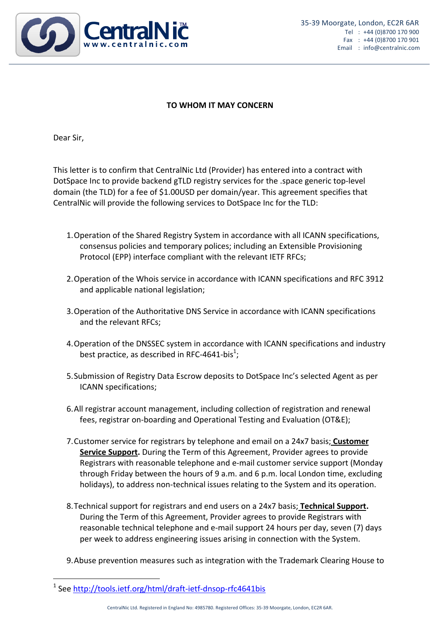

## **TO WHOM IT MAY CONCERN**

Dear Sir,

This letter is to confirm that CentralNic Ltd (Provider) has entered into a contract with DotSpace Inc to provide backend gTLD registry services for the .space generic top-level domain (the TLD) for a fee of \$1.00USD per domain/year. This agreement specifies that CentralNic will provide the following services to DotSpace Inc for the TLD:

- 1. Operation of the Shared Registry System in accordance with all ICANN specifications, consensus policies and temporary polices; including an Extensible Provisioning Protocol (EPP) interface compliant with the relevant IETF RFCs;
- 2. Operation of the Whois service in accordance with ICANN specifications and RFC 3912 and applicable national legislation;
- 3. Operation of the Authoritative DNS Service in accordance with ICANN specifications and the relevant RFCs:
- 4. Operation of the DNSSEC system in accordance with ICANN specifications and industry best practice, as described in RFC-4641-bis<sup>1</sup>;
- 5. Submission of Registry Data Escrow deposits to DotSpace Inc's selected Agent as per ICANN specifications;
- 6. All registrar account management, including collection of registration and renewal fees, registrar on-boarding and Operational Testing and Evaluation (OT&E);
- 7. Customer service for registrars by telephone and email on a 24x7 basis; **Customer Service Support.** During the Term of this Agreement, Provider agrees to provide Registrars with reasonable telephone and e-mail customer service support (Monday through Friday between the hours of 9 a.m. and 6 p.m. local London time, excluding holidays), to address non-technical issues relating to the System and its operation.
- 8. Technical support for registrars and end users on a 24x7 basis; **Technical Support.** During the Term of this Agreement, Provider agrees to provide Registrars with reasonable technical telephone and e-mail support 24 hours per day, seven (7) days per week to address engineering issues arising in connection with the System.
- 9. Abuse prevention measures such as integration with the Trademark Clearing House to

 

<sup>&</sup>lt;sup>1</sup> See http://tools.ietf.org/html/draft-ietf-dnsop-rfc4641bis